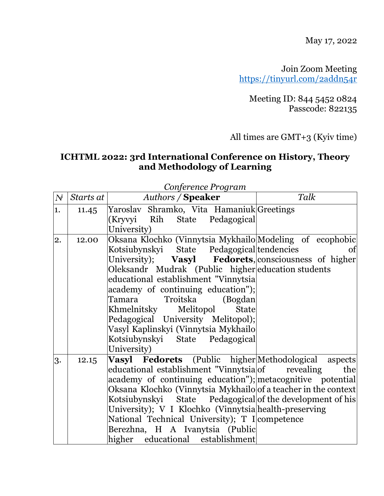May 17, 2022

Join Zoom Meeting <https://tinyurl.com/2addn54r>

Meeting ID: 844 5452 0824 Passcode: 822135

All times are GMT+3 (Kyiv time)

## **ICHTML 2022: 3rd International Conference on History, Theory and Methodology of Learning**

| $N^{\!\ell}$ | Starts at | $y \sim 0.0002280$<br><b>Authors / Speaker</b>                                                                                                                                                                                                                                                                                                                                                                                                                                                              | Talk |
|--------------|-----------|-------------------------------------------------------------------------------------------------------------------------------------------------------------------------------------------------------------------------------------------------------------------------------------------------------------------------------------------------------------------------------------------------------------------------------------------------------------------------------------------------------------|------|
| 1.           | 11.45     | Yaroslav Shramko, Vita Hamaniuk Greetings<br>(Kryvyi Rih State Pedagogical<br>University)                                                                                                                                                                                                                                                                                                                                                                                                                   |      |
| 2.           | 12.00     | Oksana Klochko (Vinnytsia Mykhailo Modeling of ecophobic<br>Kotsiubynskyi State Pedagogical tendencies<br>University); <b>Vasyl Fedorets</b> , consciousness of higher<br>Oleksandr Mudrak (Public higher education students<br>educational establishment "Vinnytsia<br>academy of continuing education");<br>Troitska (Bogdan)<br>Tamara<br>Khmelnitsky Melitopol<br>State<br>Pedagogical University Melitopol);<br>Vasyl Kaplinskyi (Vinnytsia Mykhailo<br>Kotsiubynskyi State Pedagogical<br>University) | of   |
| 3.           | 12.15     | <b>Vasyl Fedorets</b> (Public higher Methodological aspects<br>educational establishment "Vinnytsia of revealing<br>academy of continuing education"); metacognitive potential<br>Oksana Klochko (Vinnytsia Mykhailo of a teacher in the context<br>Kotsiubynskyi State Pedagogical of the development of his<br>University); V I Klochko (Vinnytsia health-preserving<br>National Technical University); T I competence<br>Berezhna, H A Ivanytsia (Public<br>higher educational establishment             | the  |

*Conference Program*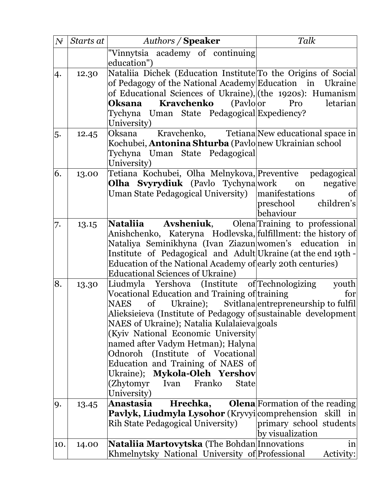| $N^{\!\!\!i}$ | Starts at | <b>Authors / Speaker</b>                                                                                                                                                                                                                                                                                                                                                                                                                                                                         | Talk                                                                                 |
|---------------|-----------|--------------------------------------------------------------------------------------------------------------------------------------------------------------------------------------------------------------------------------------------------------------------------------------------------------------------------------------------------------------------------------------------------------------------------------------------------------------------------------------------------|--------------------------------------------------------------------------------------|
|               |           | "Vinnytsia academy of continuing<br>education")                                                                                                                                                                                                                                                                                                                                                                                                                                                  |                                                                                      |
| 4.            | 12.30     | Nataliia Dichek (Education Institute To the Origins of Social<br>of Pedagogy of the National Academy Education in Ukraine<br>of Educational Sciences of Ukraine), (the 1920s): Humanism<br><b>Kravchenko</b> (Pavloor<br><b>Oksana</b><br>Tychyna Uman State Pedagogical Expediency?<br>University)                                                                                                                                                                                              | letarian<br>Pro                                                                      |
| 5.            | 12.45     | Oksana<br>Kochubei, <b>Antonina Shturba</b> (Pavlonew Ukrainian school<br>Tychyna Uman State Pedagogical<br>University)                                                                                                                                                                                                                                                                                                                                                                          | Kravchenko, Tetiana New educational space in                                         |
| 6.            | 13.00     | Tetiana Kochubei, Olha Melnykova, Preventive pedagogical<br><b>Olha Svyrydiuk</b> (Pavlo Tychyna work<br>Uman State Pedagogical University)                                                                                                                                                                                                                                                                                                                                                      | negative<br>on<br>manifestations<br>of<br>children's<br>preschool<br>behaviour       |
| 7.            | 13.15     | Nataliia<br>Anishchenko, Kateryna Hodlevska, fulfillment: the history of<br>Nataliya Seminikhyna (Ivan Ziazunwomen's education in<br>Institute of Pedagogical and Adult Ukraine (at the end 19th -<br>Education of the National Academy of early 20th centuries)<br><b>Educational Sciences of Ukraine)</b>                                                                                                                                                                                      | <b>Avsheniuk,</b> Olena Training to professional                                     |
| 8.            | 13.30     | Liudmyla Yershova (Institute of Technologizing<br>Vocational Education and Training of training<br>$\sigma f$<br><b>NAES</b><br>Alieksieieva (Institute of Pedagogy of sustainable development<br>NAES of Ukraine); Natalia Kulalaieva goals<br>(Kyiv National Economic University<br>named after Vadym Hetman); Halyna<br>Odnoroh (Institute of Vocational<br>Education and Training of NAES of<br>Ukraine); Mykola-Oleh Yershov<br>Franko<br>(Zhytomyr)<br><b>State</b><br>Ivan<br>University) | youth<br>for<br>Ukraine); Svitlana entrepreneurship to fulfil                        |
| 9.            | 13.45     | Anastasia<br>Hrechka,<br><b>Pavlyk, Liudmyla Lysohor</b> (Kryvyi comprehension skill in<br>Rih State Pedagogical University)                                                                                                                                                                                                                                                                                                                                                                     | <b>Olena</b> Formation of the reading<br>primary school students<br>by visualization |
| 10.           | 14.00     | <b>Nataliia Martovytska</b> (The Bohdan Innovations<br>Khmelnytsky National University of Professional                                                                                                                                                                                                                                                                                                                                                                                           | in<br>Activity:                                                                      |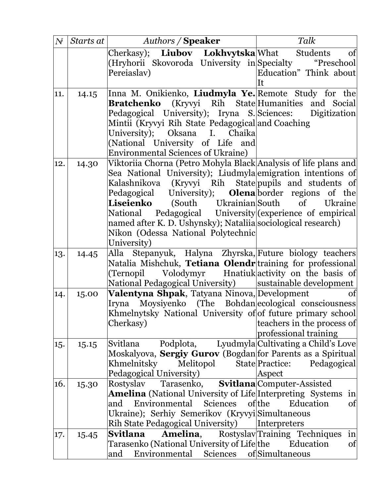| $N^{\!\delta}$ | Starts at | <b>Authors / Speaker</b>                                                      | Talk                                    |
|----------------|-----------|-------------------------------------------------------------------------------|-----------------------------------------|
|                |           | Cherkasy); <b>Liubov Lokhvytska</b>  What                                     | of<br>Students                          |
|                |           | (Hryhorii Skovoroda University in Specialty                                   | "Preschool                              |
|                |           | Pereiaslav)                                                                   | Education" Think about                  |
|                |           |                                                                               | Īt                                      |
| 11.            | 14.15     | Inna M. Onikienko, Liudmyla Ye. Remote Study for the                          |                                         |
|                |           | <b>Bratchenko</b> (Kryvyi Rih State Humanities and Social                     |                                         |
|                |           | Pedagogical University); Iryna S. Sciences: Digitization                      |                                         |
|                |           | Mintii (Kryvyi Rih State Pedagogical and Coaching                             |                                         |
|                |           | University); Oksana I. Chaika                                                 |                                         |
|                |           | (National University of Life and<br><b>Environmental Sciences of Ukraine)</b> |                                         |
|                |           | Viktoriia Chorna (Petro Mohyla Black Analysis of life plans and               |                                         |
| 12.            | 14.30     | Sea National University); Liudmyla emigration intentions of                   |                                         |
|                |           | Kalashnikova (Kryvyi Rih State pupils and students of                         |                                         |
|                |           | Pedagogical University); <b>Olena</b> border regions of the                   |                                         |
|                |           | Liseienko<br>(South Ukrainian South                                           | of Ukraine                              |
|                |           | National Pedagogical University (experience of empirical                      |                                         |
|                |           | named after K. D. Ushynsky); Nataliia sociological research)                  |                                         |
|                |           | Nikon (Odessa National Polytechnic                                            |                                         |
|                |           | University)                                                                   |                                         |
| 13.            | 14.45     | Alla Stepanyuk, Halyna Zhyrska, Future biology teachers                       |                                         |
|                |           | Natalia Mishchuk, <b>Tetiana Olendr</b> training for professional             |                                         |
|                |           | (Ternopil Volodymyr Hnatiuk activity on the basis of                          |                                         |
|                |           | National Pedagogical University)                                              | sustainable development                 |
| 14.            | 15.00     | Valentyna Shpak, Tatyana Ninova, Development                                  | of                                      |
|                |           | Iryna Moysiyenko (The Bohdan ecological consciousness                         |                                         |
|                |           | Khmelnytsky National University of of future primary school                   |                                         |
|                |           | Cherkasy)                                                                     | teachers in the process of              |
|                |           |                                                                               | professional training                   |
| 15.            | 15.15     | Podplota,<br>Svitlana                                                         | Lyudmyla Cultivating a Child's Love     |
|                |           | Moskalyova, Sergiy Gurov (Bogdan for Parents as a Spiritual                   |                                         |
|                |           | Khmelnitsky<br>Melitopol                                                      | State Practice:<br>Pedagogical          |
| 16.            |           | Pedagogical University)<br>Rostyslav<br>Tarasenko,                            | Aspect                                  |
|                | 15.30     | <b>Amelina</b> (National University of Life Interpreting Systems              | <b>Svitlana</b> Computer-Assisted<br>in |
|                |           | Environmental<br>Sciences<br>and                                              | ofthe<br>Education<br>of                |
|                |           | Ukraine); Serhiy Semerikov (Kryvyi Simultaneous                               |                                         |
|                |           | Rih State Pedagogical University)                                             | Interpreters                            |
| 17.            | 15.45     | Amelina,<br>Svitlana                                                          | Rostyslav Training Techniques<br>in     |
|                |           | Tarasenko (National University of Life the                                    | Education<br>of                         |
|                |           | Environmental Sciences<br>and                                                 | of Simultaneous                         |